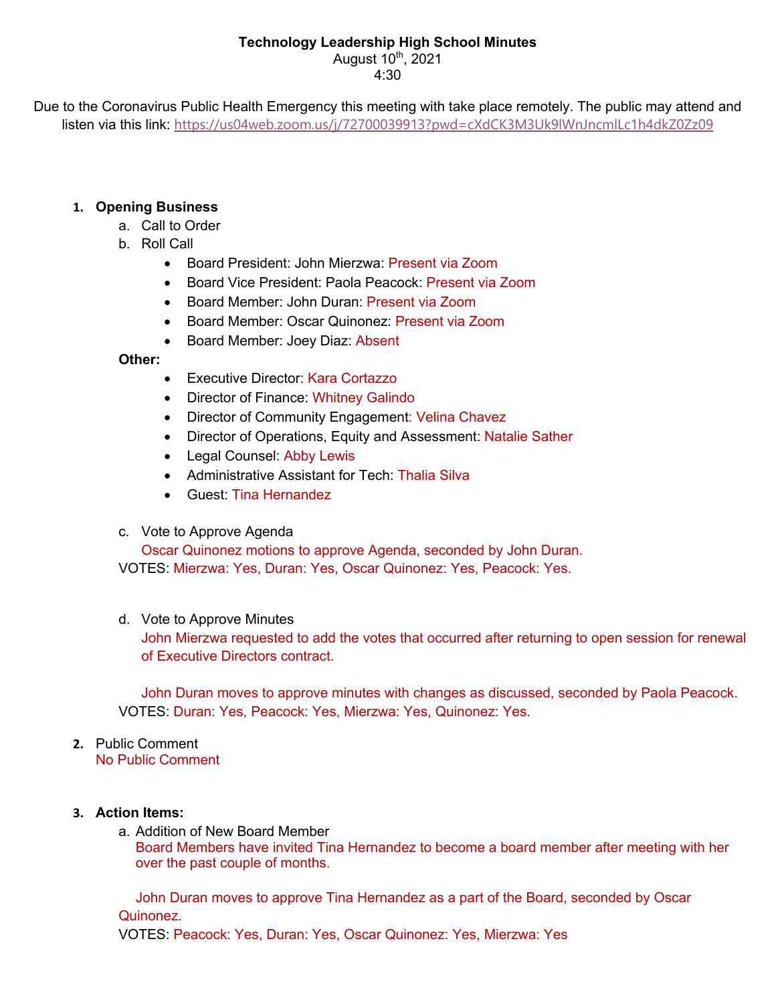# **Technology Leadership High School Minutes**

August  $10^{th}$ , 2021 4:30

Due to the Coronavirus Public Health Emergency this meeting with take place remotely. The public may attend and listen via this link: https://us04web.zoom.us/j/72700039913?pwd=cXdCK3M3Uk9lWnJncmlLc1h4dkZ0Zz09

# **1. Opening Business**

- a. Call to Order
- b. Roll Call
	- Board President: John Mierzwa: Present via Zoom
	- Board Vice President: Paola Peacock: Present via Zoom
	- Board Member: John Duran: Present via Zoom
	- Board Member: Oscar Quinonez: Present via Zoom
	- Board Member: Joey Diaz: Absent

## **Other:**

- Executive Director: Kara Cortazzo
- Director of Finance: Whitney Galindo
- Director of Community Engagement: Velina Chavez
- Director of Operations, Equity and Assessment: Natalie Sather
- Legal Counsel: Abby Lewis
- Administrative Assistant for Tech: Thalia Silva
- Guest: Tina Hernandez
- c. Vote to Approve Agenda

Oscar Quinonez motions to approve Agenda, seconded by John Duran. VOTES: Mierzwa: Yes, Duran: Yes, Oscar Quinonez: Yes, Peacock: Yes.

## d. Vote to Approve Minutes

John Mierzwa requested to add the votes that occurred after returning to open session for renewal of Executive Directors contract.

John Duran moves to approve minutes with changes as discussed, seconded by Paola Peacock. VOTES: Duran: Yes, Peacock: Yes, Mierzwa: Yes, Quinonez: Yes.

#### **2.** Public Comment No Public Comment

## **3. Action Items:**

a. Addition of New Board Member

Board Members have invited Tina Hernandez to become a board member after meeting with her over the past couple of months.

John Duran moves to approve Tina Hernandez as a part of the Board, seconded by Oscar Quinonez.

VOTES: Peacock: Yes, Duran: Yes, Oscar Quinonez: Yes, Mierzwa: Yes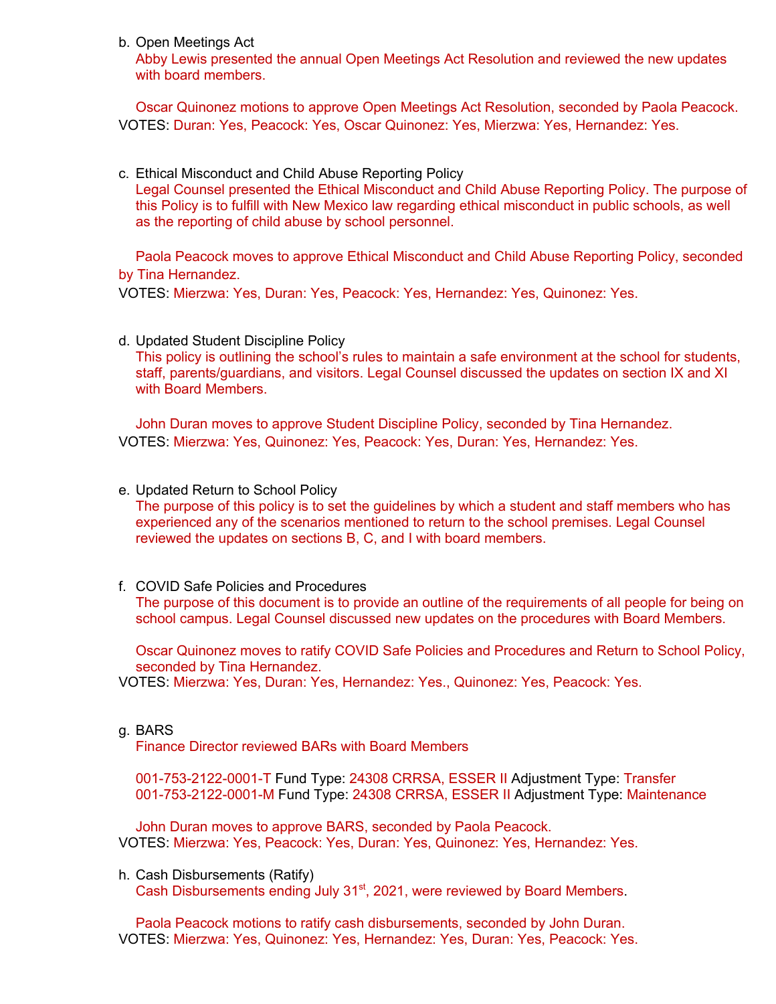b. Open Meetings Act

Abby Lewis presented the annual Open Meetings Act Resolution and reviewed the new updates with board members.

Oscar Quinonez motions to approve Open Meetings Act Resolution, seconded by Paola Peacock. VOTES: Duran: Yes, Peacock: Yes, Oscar Quinonez: Yes, Mierzwa: Yes, Hernandez: Yes.

c. Ethical Misconduct and Child Abuse Reporting Policy

Legal Counsel presented the Ethical Misconduct and Child Abuse Reporting Policy. The purpose of this Policy is to fulfill with New Mexico law regarding ethical misconduct in public schools, as well as the reporting of child abuse by school personnel.

Paola Peacock moves to approve Ethical Misconduct and Child Abuse Reporting Policy, seconded by Tina Hernandez.

VOTES: Mierzwa: Yes, Duran: Yes, Peacock: Yes, Hernandez: Yes, Quinonez: Yes.

d. Updated Student Discipline Policy This policy is outlining the school's rules to maintain a safe environment at the school for students, staff, parents/guardians, and visitors. Legal Counsel discussed the updates on section IX and XI with Board Members.

John Duran moves to approve Student Discipline Policy, seconded by Tina Hernandez. VOTES: Mierzwa: Yes, Quinonez: Yes, Peacock: Yes, Duran: Yes, Hernandez: Yes.

e. Updated Return to School Policy

The purpose of this policy is to set the guidelines by which a student and staff members who has experienced any of the scenarios mentioned to return to the school premises. Legal Counsel reviewed the updates on sections B, C, and I with board members.

f. COVID Safe Policies and Procedures The purpose of this document is to provide an outline of the requirements of all people for being on school campus. Legal Counsel discussed new updates on the procedures with Board Members.

Oscar Quinonez moves to ratify COVID Safe Policies and Procedures and Return to School Policy, seconded by Tina Hernandez.

VOTES: Mierzwa: Yes, Duran: Yes, Hernandez: Yes., Quinonez: Yes, Peacock: Yes.

### g. BARS

Finance Director reviewed BARs with Board Members

001-753-2122-0001-T Fund Type: 24308 CRRSA, ESSER II Adjustment Type: Transfer 001-753-2122-0001-M Fund Type: 24308 CRRSA, ESSER II Adjustment Type: Maintenance

John Duran moves to approve BARS, seconded by Paola Peacock. VOTES: Mierzwa: Yes, Peacock: Yes, Duran: Yes, Quinonez: Yes, Hernandez: Yes.

h. Cash Disbursements (Ratify) Cash Disbursements ending July 31<sup>st</sup>, 2021, were reviewed by Board Members.

Paola Peacock motions to ratify cash disbursements, seconded by John Duran. VOTES: Mierzwa: Yes, Quinonez: Yes, Hernandez: Yes, Duran: Yes, Peacock: Yes.